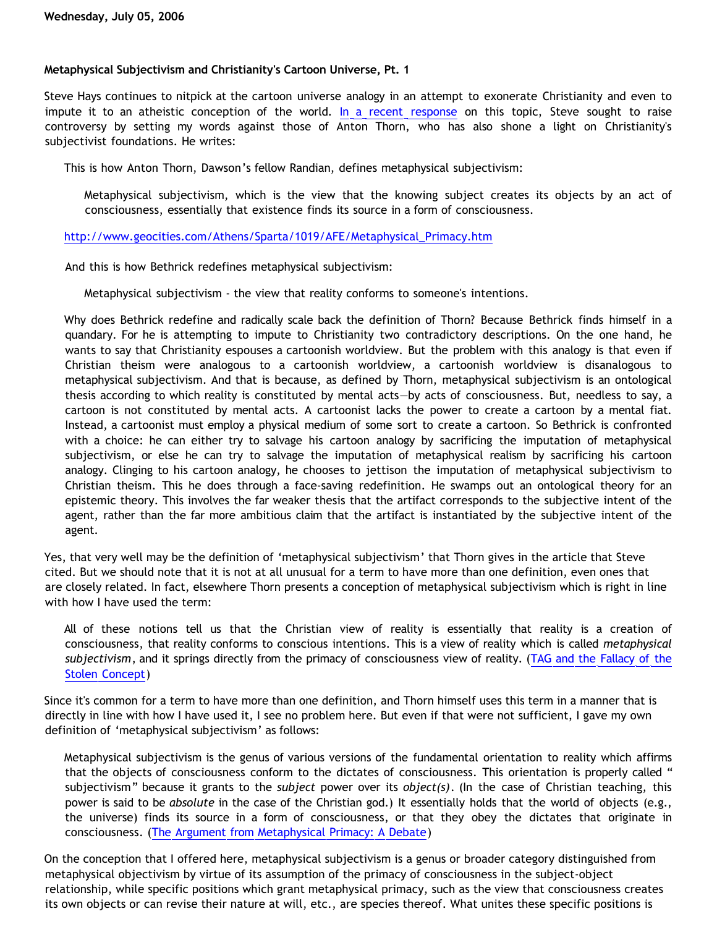## **Metaphysical Subjectivism and Christianity's Cartoon Universe, Pt. 1**

Steve Hays continues to nitpick at the cartoon universe analogy in an attempt to exonerate Christianity and even to impute it to an atheistic conception of the world. [In a recent response](http://triablogue.blogspot.com/2006/06/metaphysical-subjectivism.html) on this topic, Steve sought to raise controversy by setting my words against those of Anton Thorn, who has also shone a light on Christianity's subjectivist foundations. He writes:

This is how Anton Thorn, Dawson's fellow Randian, defines metaphysical subjectivism:

Metaphysical subjectivism, which is the view that the knowing subject creates its objects by an act of consciousness, essentially that existence finds its source in a form of consciousness.

## [http://www.geocities.com/Athens/Sparta/1019/AFE/Metaphysical\\_Primacy.htm](http://www.geocities.com/Athens/Sparta/1019/AFE/Metaphysical_Primacy.htm)

And this is how Bethrick redefines metaphysical subjectivism:

Metaphysical subjectivism - the view that reality conforms to someone's intentions.

Why does Bethrick redefine and radically scale back the definition of Thorn? Because Bethrick finds himself in a quandary. For he is attempting to impute to Christianity two contradictory descriptions. On the one hand, he wants to say that Christianity espouses a cartoonish worldview. But the problem with this analogy is that even if Christian theism were analogous to a cartoonish worldview, a cartoonish worldview is disanalogous to metaphysical subjectivism. And that is because, as defined by Thorn, metaphysical subjectivism is an ontological thesis according to which reality is constituted by mental acts—by acts of consciousness. But, needless to say, a cartoon is not constituted by mental acts. A cartoonist lacks the power to create a cartoon by a mental fiat. Instead, a cartoonist must employ a physical medium of some sort to create a cartoon. So Bethrick is confronted with a choice: he can either try to salvage his cartoon analogy by sacrificing the imputation of metaphysical subjectivism, or else he can try to salvage the imputation of metaphysical realism by sacrificing his cartoon analogy. Clinging to his cartoon analogy, he chooses to jettison the imputation of metaphysical subjectivism to Christian theism. This he does through a face-saving redefinition. He swamps out an ontological theory for an epistemic theory. This involves the far weaker thesis that the artifact corresponds to the subjective intent of the agent, rather than the far more ambitious claim that the artifact is instantiated by the subjective intent of the agent.

Yes, that very well may be the definition of 'metaphysical subjectivism' that Thorn gives in the article that Steve cited. But we should note that it is not at all unusual for a term to have more than one definition, even ones that are closely related. In fact, elsewhere Thorn presents a conception of metaphysical subjectivism which is right in line with how I have used the term:

All of these notions tell us that the Christian view of reality is essentially that reality is a creation of consciousness, that reality conforms to conscious intentions. This is a view of reality which is called *metaphysical subjectivism*, and it springs directly from the primacy of consciousness view of reality. [\(TAG and the Fallacy of the](http://www.geocities.com/Athens/Sparta/1019/Morgue/TAG_Stolen_Concept.htm) [Stolen Concept\)](http://www.geocities.com/Athens/Sparta/1019/Morgue/TAG_Stolen_Concept.htm)

Since it's common for a term to have more than one definition, and Thorn himself uses this term in a manner that is directly in line with how I have used it, I see no problem here. But even if that were not sufficient, I gave my own definition of 'metaphysical subjectivism' as follows:

Metaphysical subjectivism is the genus of various versions of the fundamental orientation to reality which affirms that the objects of consciousness conform to the dictates of consciousness. This orientation is properly called " subjectivism" because it grants to the *subject* power over its *object(s)*. (In the case of Christian teaching, this power is said to be *absolute* in the case of the Christian god.) It essentially holds that the world of objects (e.g., the universe) finds its source in a form of consciousness, or that they obey the dictates that originate in consciousness. ([The Argument from Metaphysical Primacy: A Debate\)](http://www.geocities.com/katholon/DBvPM1005.htm)

On the conception that I offered here, metaphysical subjectivism is a genus or broader category distinguished from metaphysical objectivism by virtue of its assumption of the primacy of consciousness in the subject-object relationship, while specific positions which grant metaphysical primacy, such as the view that consciousness creates its own objects or can revise their nature at will, etc., are species thereof. What unites these specific positions is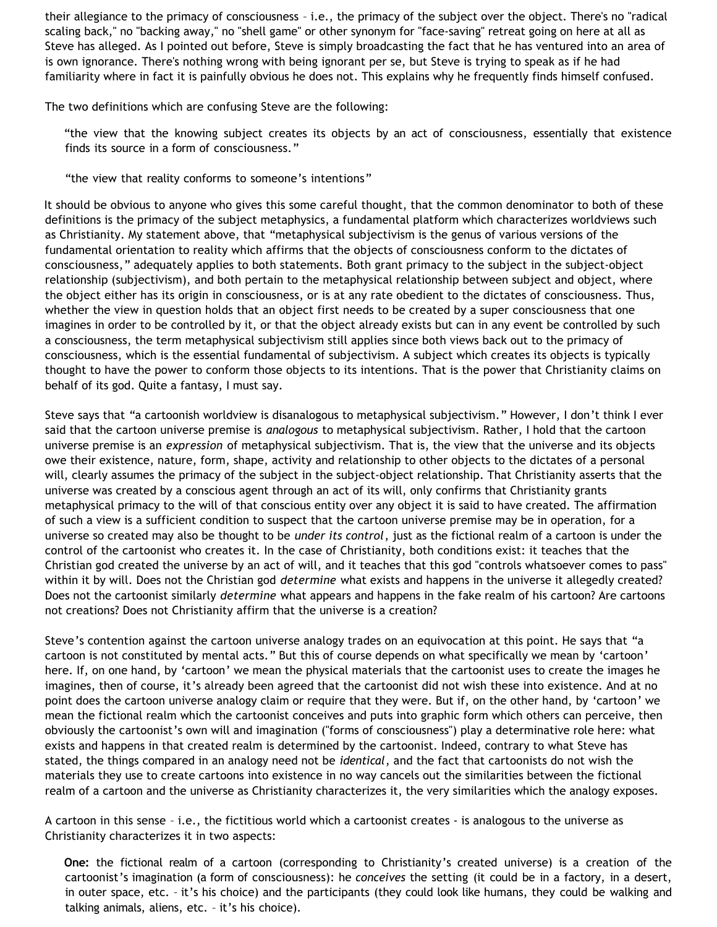their allegiance to the primacy of consciousness – i.e., the primacy of the subject over the object. There's no "radical scaling back," no "backing away," no "shell game" or other synonym for "face-saving" retreat going on here at all as Steve has alleged. As I pointed out before, Steve is simply broadcasting the fact that he has ventured into an area of is own ignorance. There's nothing wrong with being ignorant per se, but Steve is trying to speak as if he had familiarity where in fact it is painfully obvious he does not. This explains why he frequently finds himself confused.

The two definitions which are confusing Steve are the following:

"the view that the knowing subject creates its objects by an act of consciousness, essentially that existence finds its source in a form of consciousness."

"the view that reality conforms to someone's intentions"

It should be obvious to anyone who gives this some careful thought, that the common denominator to both of these definitions is the primacy of the subject metaphysics, a fundamental platform which characterizes worldviews such as Christianity. My statement above, that "metaphysical subjectivism is the genus of various versions of the fundamental orientation to reality which affirms that the objects of consciousness conform to the dictates of consciousness," adequately applies to both statements. Both grant primacy to the subject in the subject-object relationship (subjectivism), and both pertain to the metaphysical relationship between subject and object, where the object either has its origin in consciousness, or is at any rate obedient to the dictates of consciousness. Thus, whether the view in question holds that an object first needs to be created by a super consciousness that one imagines in order to be controlled by it, or that the object already exists but can in any event be controlled by such a consciousness, the term metaphysical subjectivism still applies since both views back out to the primacy of consciousness, which is the essential fundamental of subjectivism. A subject which creates its objects is typically thought to have the power to conform those objects to its intentions. That is the power that Christianity claims on behalf of its god. Quite a fantasy, I must say.

Steve says that "a cartoonish worldview is disanalogous to metaphysical subjectivism." However, I don't think I ever said that the cartoon universe premise is *analogous* to metaphysical subjectivism. Rather, I hold that the cartoon universe premise is an *expression* of metaphysical subjectivism. That is, the view that the universe and its objects owe their existence, nature, form, shape, activity and relationship to other objects to the dictates of a personal will, clearly assumes the primacy of the subject in the subject-object relationship. That Christianity asserts that the universe was created by a conscious agent through an act of its will, only confirms that Christianity grants metaphysical primacy to the will of that conscious entity over any object it is said to have created. The affirmation of such a view is a sufficient condition to suspect that the cartoon universe premise may be in operation, for a universe so created may also be thought to be *under its control*, just as the fictional realm of a cartoon is under the control of the cartoonist who creates it. In the case of Christianity, both conditions exist: it teaches that the Christian god created the universe by an act of will, and it teaches that this god "controls whatsoever comes to pass" within it by will. Does not the Christian god *determine* what exists and happens in the universe it allegedly created? Does not the cartoonist similarly *determine* what appears and happens in the fake realm of his cartoon? Are cartoons not creations? Does not Christianity affirm that the universe is a creation?

Steve's contention against the cartoon universe analogy trades on an equivocation at this point. He says that "a cartoon is not constituted by mental acts." But this of course depends on what specifically we mean by 'cartoon' here. If, on one hand, by 'cartoon' we mean the physical materials that the cartoonist uses to create the images he imagines, then of course, it's already been agreed that the cartoonist did not wish these into existence. And at no point does the cartoon universe analogy claim or require that they were. But if, on the other hand, by 'cartoon' we mean the fictional realm which the cartoonist conceives and puts into graphic form which others can perceive, then obviously the cartoonist's own will and imagination ("forms of consciousness") play a determinative role here: what exists and happens in that created realm is determined by the cartoonist. Indeed, contrary to what Steve has stated, the things compared in an analogy need not be *identical*, and the fact that cartoonists do not wish the materials they use to create cartoons into existence in no way cancels out the similarities between the fictional realm of a cartoon and the universe as Christianity characterizes it, the very similarities which the analogy exposes.

A cartoon in this sense – i.e., the fictitious world which a cartoonist creates - is analogous to the universe as Christianity characterizes it in two aspects:

**One:** the fictional realm of a cartoon (corresponding to Christianity's created universe) is a creation of the cartoonist's imagination (a form of consciousness): he *conceives* the setting (it could be in a factory, in a desert, in outer space, etc. – it's his choice) and the participants (they could look like humans, they could be walking and talking animals, aliens, etc. – it's his choice).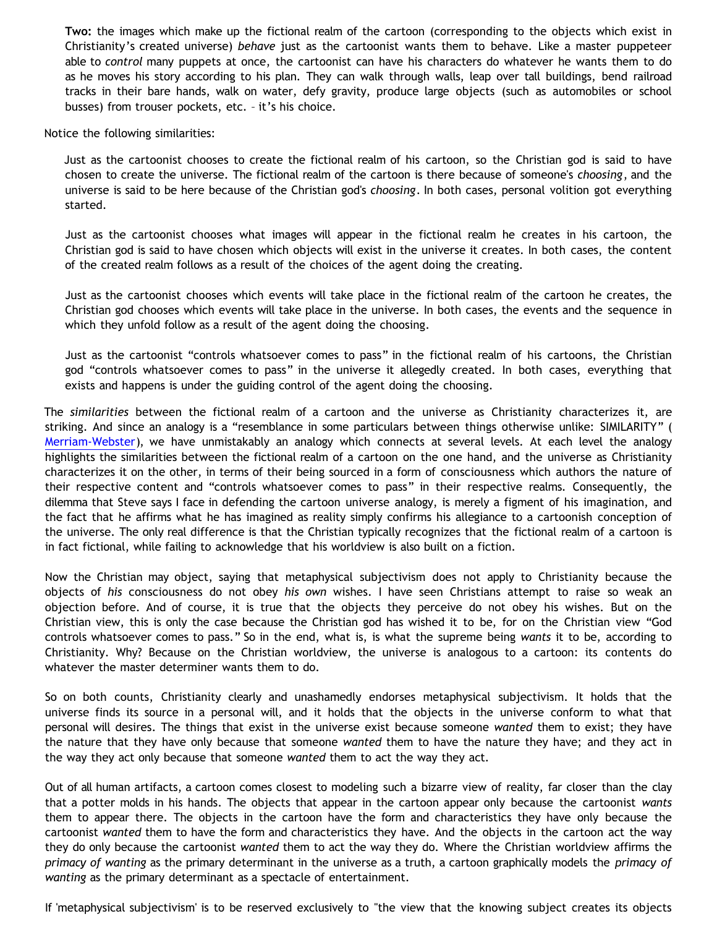**Two:** the images which make up the fictional realm of the cartoon (corresponding to the objects which exist in Christianity's created universe) *behave* just as the cartoonist wants them to behave. Like a master puppeteer able to *control* many puppets at once, the cartoonist can have his characters do whatever he wants them to do as he moves his story according to his plan. They can walk through walls, leap over tall buildings, bend railroad tracks in their bare hands, walk on water, defy gravity, produce large objects (such as automobiles or school busses) from trouser pockets, etc. – it's his choice.

Notice the following similarities:

Just as the cartoonist chooses to create the fictional realm of his cartoon, so the Christian god is said to have chosen to create the universe. The fictional realm of the cartoon is there because of someone's *choosing*, and the universe is said to be here because of the Christian god's *choosing*. In both cases, personal volition got everything started.

Just as the cartoonist chooses what images will appear in the fictional realm he creates in his cartoon, the Christian god is said to have chosen which objects will exist in the universe it creates. In both cases, the content of the created realm follows as a result of the choices of the agent doing the creating.

Just as the cartoonist chooses which events will take place in the fictional realm of the cartoon he creates, the Christian god chooses which events will take place in the universe. In both cases, the events and the sequence in which they unfold follow as a result of the agent doing the choosing.

Just as the cartoonist "controls whatsoever comes to pass" in the fictional realm of his cartoons, the Christian god "controls whatsoever comes to pass" in the universe it allegedly created. In both cases, everything that exists and happens is under the guiding control of the agent doing the choosing.

The *similarities* between the fictional realm of a cartoon and the universe as Christianity characterizes it, are striking. And since an analogy is a "resemblance in some particulars between things otherwise unlike: SIMILARITY" ( [Merriam-Webster](http://www.m-w.com/dictionary/analogy)), we have unmistakably an analogy which connects at several levels. At each level the analogy highlights the similarities between the fictional realm of a cartoon on the one hand, and the universe as Christianity characterizes it on the other, in terms of their being sourced in a form of consciousness which authors the nature of their respective content and "controls whatsoever comes to pass" in their respective realms. Consequently, the dilemma that Steve says I face in defending the cartoon universe analogy, is merely a figment of his imagination, and the fact that he affirms what he has imagined as reality simply confirms his allegiance to a cartoonish conception of the universe. The only real difference is that the Christian typically recognizes that the fictional realm of a cartoon is in fact fictional, while failing to acknowledge that his worldview is also built on a fiction.

Now the Christian may object, saying that metaphysical subjectivism does not apply to Christianity because the objects of *his* consciousness do not obey *his own* wishes. I have seen Christians attempt to raise so weak an objection before. And of course, it is true that the objects they perceive do not obey his wishes. But on the Christian view, this is only the case because the Christian god has wished it to be, for on the Christian view "God controls whatsoever comes to pass." So in the end, what is, is what the supreme being *wants* it to be, according to Christianity. Why? Because on the Christian worldview, the universe is analogous to a cartoon: its contents do whatever the master determiner wants them to do.

So on both counts, Christianity clearly and unashamedly endorses metaphysical subjectivism. It holds that the universe finds its source in a personal will, and it holds that the objects in the universe conform to what that personal will desires. The things that exist in the universe exist because someone *wanted* them to exist; they have the nature that they have only because that someone *wanted* them to have the nature they have; and they act in the way they act only because that someone *wanted* them to act the way they act.

Out of all human artifacts, a cartoon comes closest to modeling such a bizarre view of reality, far closer than the clay that a potter molds in his hands. The objects that appear in the cartoon appear only because the cartoonist *wants* them to appear there. The objects in the cartoon have the form and characteristics they have only because the cartoonist *wanted* them to have the form and characteristics they have. And the objects in the cartoon act the way they do only because the cartoonist *wanted* them to act the way they do. Where the Christian worldview affirms the *primacy of wanting* as the primary determinant in the universe as a truth, a cartoon graphically models the *primacy of wanting* as the primary determinant as a spectacle of entertainment.

If 'metaphysical subjectivism' is to be reserved exclusively to "the view that the knowing subject creates its objects